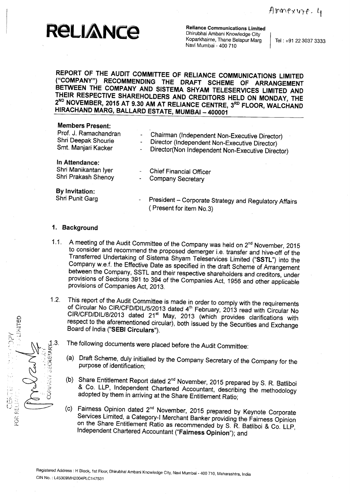Reliance Communications Limited<br>
NCC Dhirubhai Ambani Knowledge City<br>
Koparkhairne, Thane Belapur Marg<br>
Tel : +91 22 3037 3333

**Reliance Communications Limited** Dhirubhai Ambani Knowledge City Koparkhairne, Thane Belapur Marg Navi Mumbai - 400 710

**REPORT OF THE AUDIT COMMITTEE OF RELIANCE COMMUNICATIONS LIMITED ("COMPANY**") **RECOMMENDING THE DRAFT SCHEME OF ARRANGEMENT BETWEEN THE COMPANY AND SISTEMA SHYAM TELESERVICES LIMITED AND THEIR RESPECTIVE SHAREHOLDERS AND CREDITORS HELD ON MONDAY, THE 2ND NOVEMBER**, **2015 AT 9** . **30 AM AT RELIANCE CENTRE** , **3RD FLOOR**, **WALCHAND HIRACHAND MARG**, **BALLARD ESTATE**, **MUMBAI** - **<sup>400001</sup>**

#### **Members Present:**

| Prof. J. Ramachandran<br>Shri Deepak Shourie<br>Smt. Manjari Kacker | Chairman (Independent Non-Executive Director)<br>Director (Independent Non-Executive Director)<br>٠<br>Director(Non Independent Non-Executive Director)<br>- |
|---------------------------------------------------------------------|--------------------------------------------------------------------------------------------------------------------------------------------------------------|
| In Attendance:<br>Shri Manikantan Iyer<br>Shri Prakash Shenoy       | <b>Chief Financial Officer</b><br><b>Company Secretary</b>                                                                                                   |
| By Invitation:<br>Shri Punit Garg                                   | President - Corporate Strategy and Regulatory Affairs<br>Present for item No.3)                                                                              |

#### **1. Background**

EOR RE

- 1.1. A meeting of the Audit Committee of the Company was held on 2<sup>nd</sup> November, 2015 to consider and recommend the proposed demerger i.e. transfer and hive-off of the Transferred Undertaking of Sistema Shyam Teleservices Limited ("SSTL") into the Company w.e.f. the Effective Date as specified in the draft Scheme of Arrangement between the Company, SSTL and their respective shareholders and creditors, under provisions of Sections 391 to 394 of the Companies Act, 1956 and other applicable provisions of Companies Act, 2013.
- 1.2. This report of the Audit Committee is made in order to comply with the requirements of Circular No CIR/CFD/DIU5/2013 dated 4th February, 2013 read with Circular No CIR/CFD/DIU8/2013 dated 21st May, 2013 (which provides clarifications with respect to the aforementioned circular), both issued by the Securities and Exchange Board of India ("**SEBI Circulars").**
	-
- 1.3. The following documents were placed before the Audit Committee:<br>  $\frac{25}{12}$  (a) Draft Scheme, duly initialled by the Company Secretary of the purpose of identification; (a) Draft Scheme, duly initialled by the Company Secretary of the Company for the purpose of identification;
	- (b) Share Entitlement Report dated  $2^{nd}$  November, 2015 prepared by S. R. Batliboi & Co. LLP, Independent Chartered Accountant, describing the methodology adopted by them in arriving at the Share Entitlement Ratio;
	- (c) Fairness Opinion dated 2nd November, 2015 prepared by Keynote Corporate Services Limited, a Category-I Merchant Banker providing the Fairness Opinion on the Share Entitlement Ratio as recommended by S. R. Batliboi & Co. LLP, Independent Chartered Accountant (" **Fairness** Opinion"); and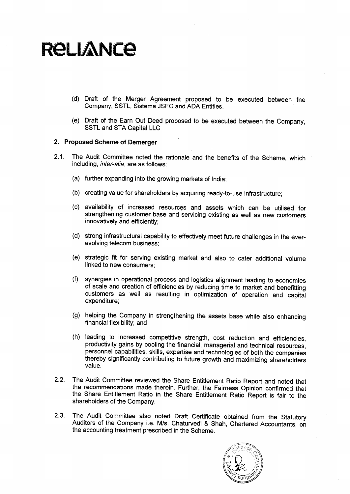# **RELIANCE**

- **(d) Draft of the Merger Agreement proposed to be executed between the Company**, SSTL, **Sistema JSFC** and ADA **Entities.**
- **(e) Draft of the Earn Out Deed proposed to be executed between the** Company, SSTL and STA Capital LLC

#### 2. Proposed Scheme of **Demerger**

- 2.1. The Audit **Committee noted the rationale and the benefits of the Scheme, which including** , **inter-alia** , **are as follows:**
	- (a) further expanding into the growing markets of India;
	- (b) creating value for shareholders by acquiring ready-to-use infrastructure;
	- (c) availability of increased resources and assets which can be utilised for strengthening customer base and servicing existing as well as new customers innovatively and efficiently;
	- (d) strong infrastructural capability to effectively meet future challenges in the everevolving telecom business;
	- (e) strategic fit for serving existing market and also to cater additional volume linked to new consumers;
	- (f) synergies in operational process and logistics alignment leading to economies of scale and creation of efficiencies by reducing time to market and benefitting customers as well as resulting in optimization of operation and capital expenditure;
	- (g) helping the Company in strengthening the assets base while also enhancing financial flexibility; and
	- (h) leading to increased competitive strength, cost reduction and efficiencies, productivity gains by pooling the financial, managerial and technical resources, personnel capabilities, skills, expertise and technologies of both the companies thereby significantly contributing to future growth and maximizing shareholders value.
- 2.2. The Audit Committee reviewed the Share Entitlement Ratio Report and noted that the recommendations made therein. Further, the Fairness Opinion confirmed that the Share Entitlement Ratio in the Share Entitlement Ratio Report is fair to the shareholders of the Company.
- 2.3. The Audit Committee also noted Draft Certificate obtained from the Statutory Auditors of the Company i.e. M/s. Chaturvedi & Shah, Chartered Accountants, on the accounting treatment prescribed in the Scheme.